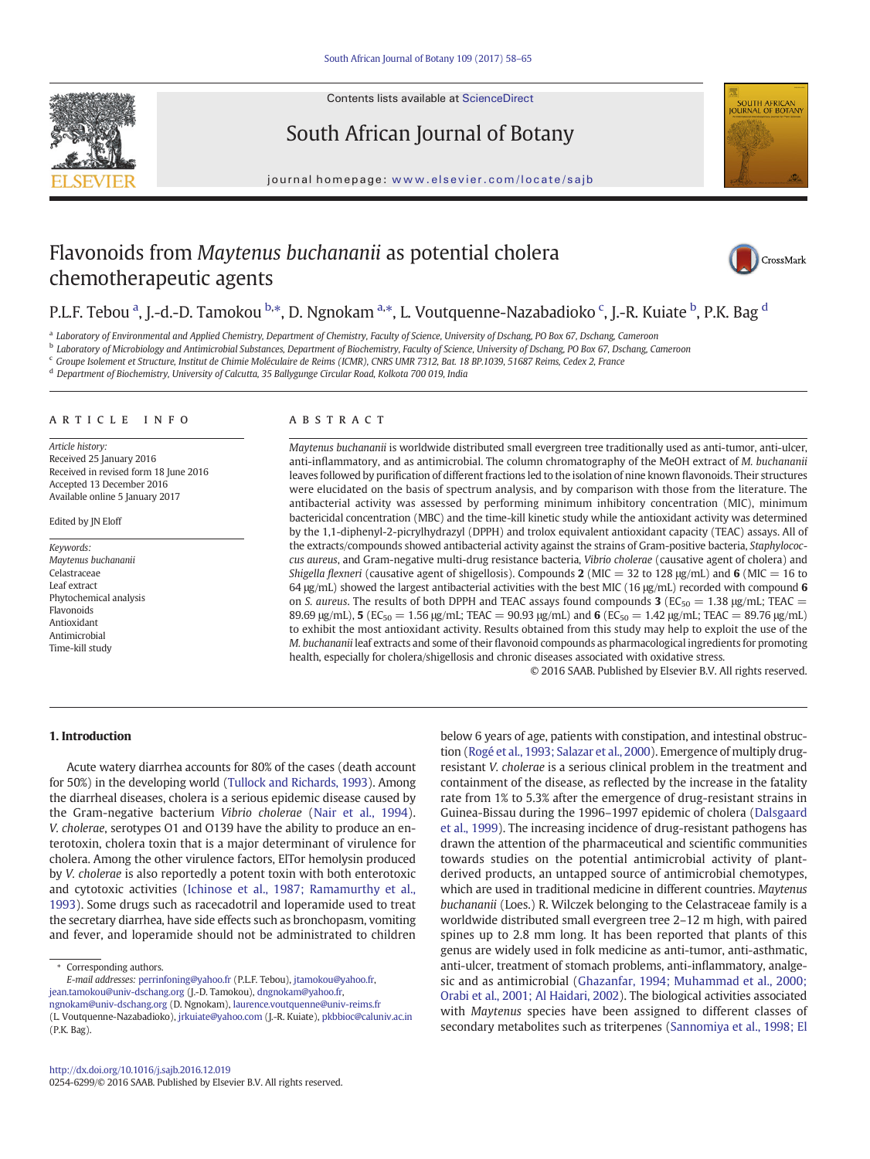Contents lists available at ScienceDirect



South African Journal of Botany

journal homepage: <www.elsevier.com/locate/sajb>



# Flavonoids from Maytenus buchananii as potential cholera chemotherapeutic agents



# P.L.F. Tebou <sup>a</sup>, J.-d.-D. Tamokou <sup>b,\*</sup>, D. Ngnokam <sup>a,\*</sup>, L. Voutquenne-Nazabadioko <sup>c</sup>, J.-R. Kuiate <sup>b</sup>, P.K. Bag <sup>d</sup>

<sup>a</sup> Laboratory of Environmental and Applied Chemistry, Department of Chemistry, Faculty of Science, University of Dschang, PO Box 67, Dschang, Cameroon

<sup>b</sup> Laboratory of Microbiology and Antimicrobial Substances, Department of Biochemistry, Faculty of Science, University of Dschang, PO Box 67, Dschang, Cameroon

<sup>c</sup> Groupe Isolement et Structure, Institut de Chimie Moléculaire de Reims (ICMR), CNRS UMR 7312, Bat. 18 BP.1039, 51687 Reims, Cedex 2, France

<sup>d</sup> Department of Biochemistry, University of Calcutta, 35 Ballygunge Circular Road, Kolkota 700 019, India

#### article info abstract

Article history: Received 25 January 2016 Received in revised form 18 June 2016 Accepted 13 December 2016 Available online 5 January 2017

Edited by JN Eloff

Keywords: Maytenus buchananii Celastraceae Leaf extract Phytochemical analysis Flavonoids Antioxidant Antimicrobial Time-kill study

Maytenus buchananii is worldwide distributed small evergreen tree traditionally used as anti-tumor, anti-ulcer, anti-inflammatory, and as antimicrobial. The column chromatography of the MeOH extract of M. buchananii leaves followed by purification of different fractions led to the isolation of nine known flavonoids. Their structures were elucidated on the basis of spectrum analysis, and by comparison with those from the literature. The antibacterial activity was assessed by performing minimum inhibitory concentration (MIC), minimum bactericidal concentration (MBC) and the time-kill kinetic study while the antioxidant activity was determined by the 1,1-diphenyl-2-picrylhydrazyl (DPPH) and trolox equivalent antioxidant capacity (TEAC) assays. All of the extracts/compounds showed antibacterial activity against the strains of Gram-positive bacteria, Staphylococcus aureus, and Gram-negative multi-drug resistance bacteria, Vibrio cholerae (causative agent of cholera) and Shigella flexneri (causative agent of shigellosis). Compounds 2 (MIC = 32 to 128  $\mu$ g/mL) and 6 (MIC = 16 to 64 μg/mL) showed the largest antibacterial activities with the best MIC (16 μg/mL) recorded with compound 6 on S. aureus. The results of both DPPH and TEAC assays found compounds 3 ( $EC_{50} = 1.38 \text{ µg/mL}$ ; TEAC = 89.69 μg/mL), 5 ( $EC_{50} = 1.56$  μg/mL; TEAC = 90.93 μg/mL) and 6 ( $EC_{50} = 1.42$  μg/mL; TEAC = 89.76 μg/mL) to exhibit the most antioxidant activity. Results obtained from this study may help to exploit the use of the M. buchananii leaf extracts and some of their flavonoid compounds as pharmacological ingredients for promoting health, especially for cholera/shigellosis and chronic diseases associated with oxidative stress.

© 2016 SAAB. Published by Elsevier B.V. All rights reserved.

# 1. Introduction

Acute watery diarrhea accounts for 80% of the cases (death account for 50%) in the developing world [\(Tullock and Richards, 1993\)](#page-7-0). Among the diarrheal diseases, cholera is a serious epidemic disease caused by the Gram-negative bacterium Vibrio cholerae ([Nair et al., 1994](#page-7-0)). V. cholerae, serotypes O1 and O139 have the ability to produce an enterotoxin, cholera toxin that is a major determinant of virulence for cholera. Among the other virulence factors, ElTor hemolysin produced by V. cholerae is also reportedly a potent toxin with both enterotoxic and cytotoxic activities ([Ichinose et al., 1987; Ramamurthy et al.,](#page-7-0) [1993\)](#page-7-0). Some drugs such as racecadotril and loperamide used to treat the secretary diarrhea, have side effects such as bronchopasm, vomiting and fever, and loperamide should not be administrated to children

E-mail addresses: perrinfoning@yahoo.fr (P.L.F. Tebou), jtamokou@yahoo.fr, jean.tamokou@univ-dschang.org (J.-D. Tamokou), dngnokam@yahoo.fr, ngnokam@univ-dschang.org (D. Ngnokam), laurence.voutquenne@univ-reims.fr (L. Voutquenne-Nazabadioko), [jrkuiate@yahoo.com](mailto:jrkuiate@yahoo.com) (J.-R. Kuiate), [pkbbioc@caluniv.ac.in](mailto:pkbbioc@caluniv.ac.in) (P.K. Bag).

below 6 years of age, patients with constipation, and intestinal obstruction ([Rogé et al., 1993; Salazar et al., 2000](#page-7-0)). Emergence of multiply drugresistant V. cholerae is a serious clinical problem in the treatment and containment of the disease, as reflected by the increase in the fatality rate from 1% to 5.3% after the emergence of drug-resistant strains in Guinea-Bissau during the 1996–1997 epidemic of cholera ([Dalsgaard](#page-7-0) [et al., 1999\)](#page-7-0). The increasing incidence of drug-resistant pathogens has drawn the attention of the pharmaceutical and scientific communities towards studies on the potential antimicrobial activity of plantderived products, an untapped source of antimicrobial chemotypes, which are used in traditional medicine in different countries. Maytenus buchananii (Loes.) R. Wilczek belonging to the Celastraceae family is a worldwide distributed small evergreen tree 2–12 m high, with paired spines up to 2.8 mm long. It has been reported that plants of this genus are widely used in folk medicine as anti-tumor, anti-asthmatic, anti-ulcer, treatment of stomach problems, anti-inflammatory, analgesic and as antimicrobial ([Ghazanfar, 1994; Muhammad et al., 2000;](#page-7-0) [Orabi et al., 2001; Al Haidari, 2002\)](#page-7-0). The biological activities associated with Maytenus species have been assigned to different classes of secondary metabolites such as triterpenes [\(Sannomiya et al., 1998; El](#page-7-0)

<sup>⁎</sup> Corresponding authors.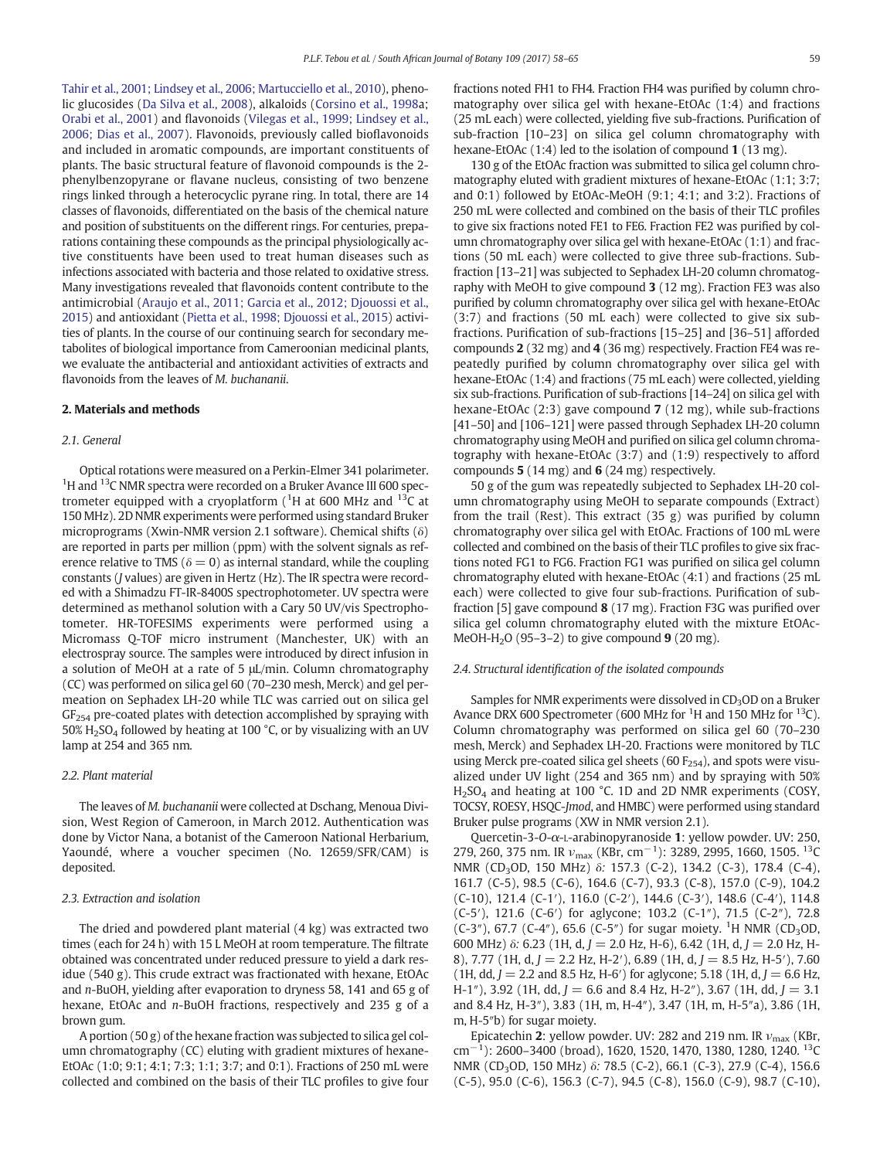[Tahir et al., 2001; Lindsey et al., 2006; Martucciello et al., 2010\)](#page-7-0), phenolic glucosides ([Da Silva et al., 2008\)](#page-7-0), alkaloids ([Corsino et al., 1998a](#page-7-0); [Orabi et al., 2001\)](#page-7-0) and flavonoids [\(Vilegas et al., 1999; Lindsey et al.,](#page-7-0) [2006; Dias et al., 2007](#page-7-0)). Flavonoids, previously called bioflavonoids and included in aromatic compounds, are important constituents of plants. The basic structural feature of flavonoid compounds is the 2 phenylbenzopyrane or flavane nucleus, consisting of two benzene rings linked through a heterocyclic pyrane ring. In total, there are 14 classes of flavonoids, differentiated on the basis of the chemical nature and position of substituents on the different rings. For centuries, preparations containing these compounds as the principal physiologically active constituents have been used to treat human diseases such as infections associated with bacteria and those related to oxidative stress. Many investigations revealed that flavonoids content contribute to the antimicrobial [\(Araujo et al., 2011; Garcia et al., 2012; Djouossi et al.,](#page-7-0) [2015](#page-7-0)) and antioxidant [\(Pietta et al., 1998; Djouossi et al., 2015\)](#page-7-0) activities of plants. In the course of our continuing search for secondary metabolites of biological importance from Cameroonian medicinal plants, we evaluate the antibacterial and antioxidant activities of extracts and flavonoids from the leaves of M. buchananii.

# 2. Materials and methods

#### 2.1. General

Optical rotations were measured on a Perkin-Elmer 341 polarimeter. <sup>1</sup>H and <sup>13</sup>C NMR spectra were recorded on a Bruker Avance III 600 spectrometer equipped with a cryoplatform ( ${}^{1}$ H at 600 MHz and  ${}^{13}$ C at 150 MHz). 2D NMR experiments were performed using standard Bruker microprograms (Xwin-NMR version 2.1 software). Chemical shifts (δ) are reported in parts per million (ppm) with the solvent signals as reference relative to TMS ( $\delta = 0$ ) as internal standard, while the coupling constants (J values) are given in Hertz (Hz). The IR spectra were recorded with a Shimadzu FT-IR-8400S spectrophotometer. UV spectra were determined as methanol solution with a Cary 50 UV/vis Spectrophotometer. HR-TOFESIMS experiments were performed using a Micromass Q-TOF micro instrument (Manchester, UK) with an electrospray source. The samples were introduced by direct infusion in a solution of MeOH at a rate of 5 μL/min. Column chromatography (CC) was performed on silica gel 60 (70–230 mesh, Merck) and gel permeation on Sephadex LH-20 while TLC was carried out on silica gel  $GF<sub>254</sub>$  pre-coated plates with detection accomplished by spraying with 50%  $H<sub>2</sub>SO<sub>4</sub>$  followed by heating at 100 °C, or by visualizing with an UV lamp at 254 and 365 nm.

# 2.2. Plant material

The leaves of M. buchananii were collected at Dschang, Menoua Division, West Region of Cameroon, in March 2012. Authentication was done by Victor Nana, a botanist of the Cameroon National Herbarium, Yaoundé, where a voucher specimen (No. 12659/SFR/CAM) is deposited.

#### 2.3. Extraction and isolation

The dried and powdered plant material (4 kg) was extracted two times (each for 24 h) with 15 L MeOH at room temperature. The filtrate obtained was concentrated under reduced pressure to yield a dark residue (540 g). This crude extract was fractionated with hexane, EtOAc and n-BuOH, yielding after evaporation to dryness 58, 141 and 65 g of hexane, EtOAc and n-BuOH fractions, respectively and 235 g of a brown gum.

A portion (50 g) of the hexane fraction was subjected to silica gel column chromatography (CC) eluting with gradient mixtures of hexane-EtOAc (1:0; 9:1; 4:1; 7:3; 1:1; 3:7; and 0:1). Fractions of 250 mL were collected and combined on the basis of their TLC profiles to give four fractions noted FH1 to FH4. Fraction FH4 was purified by column chromatography over silica gel with hexane-EtOAc (1:4) and fractions (25 mL each) were collected, yielding five sub-fractions. Purification of sub-fraction [10–23] on silica gel column chromatography with hexane-EtOAc (1:4) led to the isolation of compound 1 (13 mg).

130 g of the EtOAc fraction was submitted to silica gel column chromatography eluted with gradient mixtures of hexane-EtOAc (1:1; 3:7; and 0:1) followed by EtOAc-MeOH (9:1; 4:1; and 3:2). Fractions of 250 mL were collected and combined on the basis of their TLC profiles to give six fractions noted FE1 to FE6. Fraction FE2 was purified by column chromatography over silica gel with hexane-EtOAc (1:1) and fractions (50 mL each) were collected to give three sub-fractions. Subfraction [13–21] was subjected to Sephadex LH-20 column chromatography with MeOH to give compound 3 (12 mg). Fraction FE3 was also purified by column chromatography over silica gel with hexane-EtOAc (3:7) and fractions (50 mL each) were collected to give six subfractions. Purification of sub-fractions [15–25] and [36–51] afforded compounds 2 (32 mg) and 4 (36 mg) respectively. Fraction FE4 was repeatedly purified by column chromatography over silica gel with hexane-EtOAc (1:4) and fractions (75 mL each) were collected, yielding six sub-fractions. Purification of sub-fractions [14–24] on silica gel with hexane-EtOAc (2:3) gave compound 7 (12 mg), while sub-fractions [41–50] and [106–121] were passed through Sephadex LH-20 column chromatography using MeOH and purified on silica gel column chromatography with hexane-EtOAc (3:7) and (1:9) respectively to afford compounds 5 (14 mg) and 6 (24 mg) respectively.

50 g of the gum was repeatedly subjected to Sephadex LH-20 column chromatography using MeOH to separate compounds (Extract) from the trail (Rest). This extract (35 g) was purified by column chromatography over silica gel with EtOAc. Fractions of 100 mL were collected and combined on the basis of their TLC profiles to give six fractions noted FG1 to FG6. Fraction FG1 was purified on silica gel column chromatography eluted with hexane-EtOAc (4:1) and fractions (25 mL each) were collected to give four sub-fractions. Purification of subfraction [5] gave compound 8 (17 mg). Fraction F3G was purified over silica gel column chromatography eluted with the mixture EtOAc-MeOH-H<sub>2</sub>O (95–3–2) to give compound  $9(20 \text{ mg})$ .

#### 2.4. Structural identification of the isolated compounds

Samples for NMR experiments were dissolved in CD<sub>3</sub>OD on a Bruker Avance DRX 600 Spectrometer (600 MHz for  ${}^{1}$ H and 150 MHz for  ${}^{13}$ C). Column chromatography was performed on silica gel 60 (70–230 mesh, Merck) and Sephadex LH-20. Fractions were monitored by TLC using Merck pre-coated silica gel sheets (60  $F_{254}$ ), and spots were visualized under UV light (254 and 365 nm) and by spraying with 50% H<sub>2</sub>SO<sub>4</sub> and heating at 100 °C. 1D and 2D NMR experiments (COSY, TOCSY, ROESY, HSQC-Jmod, and HMBC) were performed using standard Bruker pulse programs (XW in NMR version 2.1).

Quercetin-3-O-α-L-arabinopyranoside 1: yellow powder. UV: 250, 279, 260, 375 nm. IR  $v_{\text{max}}$  (KBr, cm<sup>-1</sup>): 3289, 2995, 1660, 1505. <sup>13</sup>C NMR (CD3OD, 150 MHz) δ: 157.3 (C-2), 134.2 (C-3), 178.4 (C-4), 161.7 (C-5), 98.5 (C-6), 164.6 (C-7), 93.3 (C-8), 157.0 (C-9), 104.2 (C-10), 121.4 (C-1′), 116.0 (C-2′), 144.6 (C-3′), 148.6 (C-4′), 114.8 (C-5′), 121.6 (C-6′) for aglycone; 103.2 (C-1″), 71.5 (C-2″), 72.8 (C-3"), 67.7 (C-4"), 65.6 (C-5") for sugar moiety. <sup>1</sup>H NMR (CD<sub>3</sub>OD, 600 MHz)  $\delta$ : 6.23 (1H, d, J = 2.0 Hz, H-6), 6.42 (1H, d, J = 2.0 Hz, H-8), 7.77 (1H, d,  $J = 2.2$  Hz, H-2'), 6.89 (1H, d,  $J = 8.5$  Hz, H-5'), 7.60 (1H, dd,  $J = 2.2$  and 8.5 Hz, H-6<sup>'</sup>) for aglycone; 5.18 (1H, d,  $J = 6.6$  Hz, H-1″), 3.92 (1H, dd,  $J = 6.6$  and 8.4 Hz, H-2″), 3.67 (1H, dd,  $J = 3.1$ and 8.4 Hz, H-3″), 3.83 (1H, m, H-4″), 3.47 (1H, m, H-5″a), 3.86 (1H, m, H-5″b) for sugar moiety.

Epicatechin 2: yellow powder. UV: 282 and 219 nm. IR  $v_{\text{max}}$  (KBr, cm<sup>-1</sup>): 2600-3400 (broad), 1620, 1520, 1470, 1380, 1280, 1240. <sup>13</sup>C NMR (CD3OD, 150 MHz) δ: 78.5 (C-2), 66.1 (C-3), 27.9 (C-4), 156.6 (C-5), 95.0 (C-6), 156.3 (C-7), 94.5 (C-8), 156.0 (C-9), 98.7 (C-10),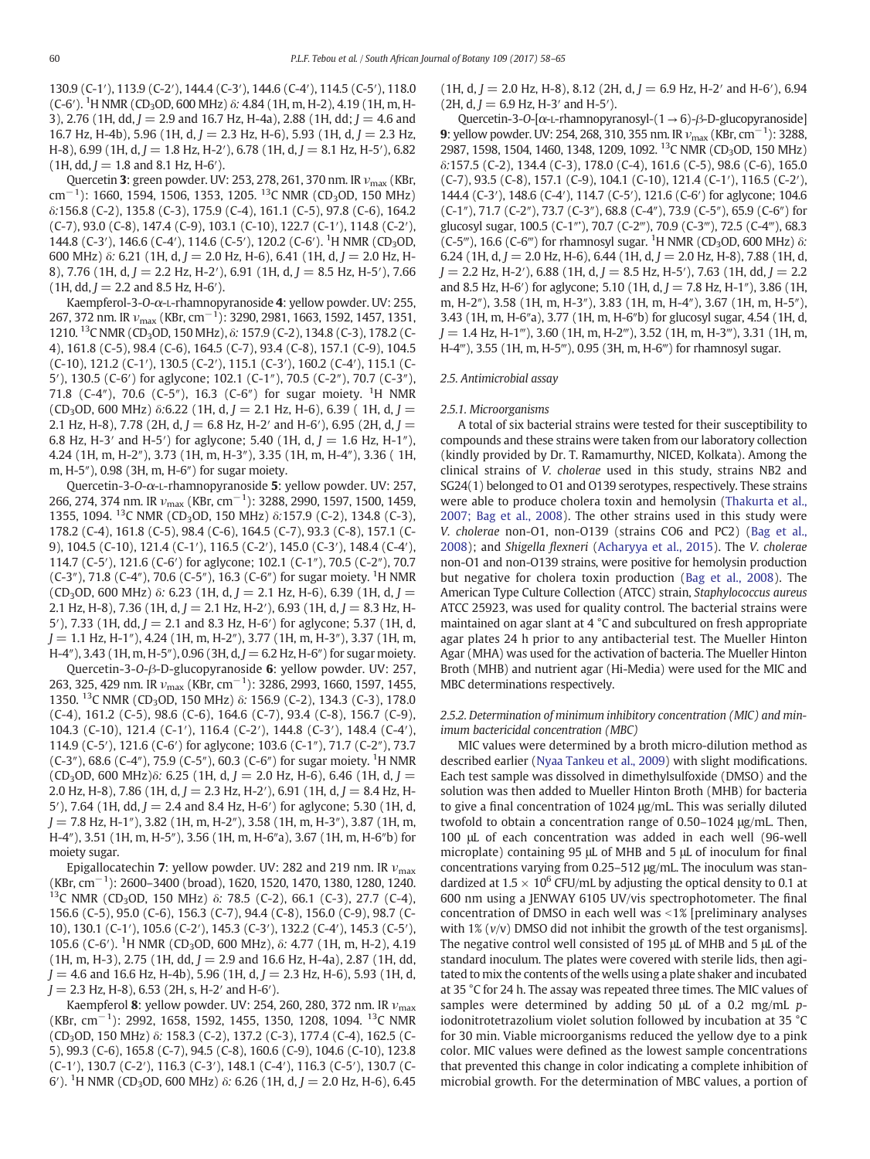130.9 (C-1′), 113.9 (C-2′), 144.4 (C-3′), 144.6 (C-4′), 114.5 (C-5′), 118.0 (C-6<sup>'</sup>). <sup>1</sup>H NMR (CD<sub>3</sub>OD, 600 MHz) δ: 4.84 (1H, m, H-2), 4.19 (1H, m, H-3), 2.76 (1H, dd,  $J = 2.9$  and 16.7 Hz, H-4a), 2.88 (1H, dd;  $J = 4.6$  and 16.7 Hz, H-4b), 5.96 (1H, d,  $I = 2.3$  Hz, H-6), 5.93 (1H, d,  $I = 2.3$  Hz, H-8), 6.99 (1H, d,  $J = 1.8$  Hz, H-2'), 6.78 (1H, d,  $J = 8.1$  Hz, H-5'), 6.82  $(1H, dd, J = 1.8$  and 8.1 Hz, H-6<sup>'</sup>).

Quercetin 3: green powder. UV: 253, 278, 261, 370 nm. IR  $v_{\text{max}}$  (KBr, cm<sup>−1</sup>): 1660, 1594, 1506, 1353, 1205. <sup>13</sup>C NMR (CD<sub>3</sub>OD, 150 MHz) δ:156.8 (C-2), 135.8 (C-3), 175.9 (C-4), 161.1 (C-5), 97.8 (C-6), 164.2 (C-7), 93.0 (C-8), 147.4 (C-9), 103.1 (C-10), 122.7 (C-1′), 114.8 (C-2′), 144.8 (C-3'), 146.6 (C-4'), 114.6 (C-5'), 120.2 (C-6'). <sup>1</sup>H NMR (CD<sub>3</sub>OD, 600 MHz) δ: 6.21 (1H, d,  $I = 2.0$  Hz, H-6), 6.41 (1H, d,  $I = 2.0$  Hz, H-8), 7.76 (1H, d,  $J = 2.2$  Hz, H-2'), 6.91 (1H, d,  $J = 8.5$  Hz, H-5'), 7.66  $(1H, dd, J = 2.2$  and 8.5 Hz, H-6<sup>'</sup>).

Kaempferol-3-O-α-L-rhamnopyranoside 4: yellow powder. UV: 255, 267, 372 nm. IR  $v_{\rm max}$  (KBr, cm $^{-1}$ ): 3290, 2981, 1663, 1592, 1457, 1351, 1210. <sup>13</sup>C NMR (CD<sub>3</sub>OD, 150 MHz), δ: 157.9 (C-2), 134.8 (C-3), 178.2 (C-4), 161.8 (C-5), 98.4 (C-6), 164.5 (C-7), 93.4 (C-8), 157.1 (C-9), 104.5 (C-10), 121.2 (C-1′), 130.5 (C-2′), 115.1 (C-3′), 160.2 (C-4′), 115.1 (C-5′), 130.5 (C-6′) for aglycone; 102.1 (C-1″), 70.5 (C-2″), 70.7 (C-3″), 71.8 (C-4"), 70.6 (C-5"), 16.3 (C-6") for sugar moiety. <sup>1</sup>H NMR (CD<sub>3</sub>OD, 600 MHz)  $\delta$ :6.22 (1H, d, J = 2.1 Hz, H-6), 6.39 (1H, d, J = 2.1 Hz, H-8), 7.78 (2H, d,  $J = 6.8$  Hz, H-2' and H-6'), 6.95 (2H, d,  $J =$ 6.8 Hz, H-3' and H-5') for aglycone; 5.40 (1H, d,  $J = 1.6$  Hz, H-1"), 4.24 (1H, m, H-2″), 3.73 (1H, m, H-3″), 3.35 (1H, m, H-4″), 3.36 ( 1H, m, H-5″), 0.98 (3H, m, H-6″) for sugar moiety.

Quercetin-3-O-α-L-rhamnopyranoside 5: yellow powder. UV: 257, 266, 274, 374 nm. IR  $v_{\rm max}$  (KBr, cm<sup>-1</sup>): 3288, 2990, 1597, 1500, 1459, 1355, 1094. <sup>13</sup>C NMR (CD<sub>3</sub>OD, 150 MHz) δ:157.9 (C-2), 134.8 (C-3), 178.2 (C-4), 161.8 (C-5), 98.4 (C-6), 164.5 (C-7), 93.3 (C-8), 157.1 (C-9), 104.5 (C-10), 121.4 (C-1′), 116.5 (C-2′), 145.0 (C-3′), 148.4 (C-4′), 114.7 (C-5′), 121.6 (C-6′) for aglycone; 102.1 (C-1″), 70.5 (C-2″), 70.7 (C-3"), 71.8 (C-4"), 70.6 (C-5"), 16.3 (C-6") for sugar moiety. <sup>1</sup>H NMR (CD<sub>3</sub>OD, 600 MHz) δ: 6.23 (1H, d, J = 2.1 Hz, H-6), 6.39 (1H, d, J = 2.1 Hz, H-8), 7.36 (1H, d,  $J = 2.1$  Hz, H-2'), 6.93 (1H, d,  $J = 8.3$  Hz, H-5'), 7.33 (1H, dd,  $J = 2.1$  and 8.3 Hz, H-6') for aglycone; 5.37 (1H, d,  $J = 1.1$  Hz, H-1"), 4.24 (1H, m, H-2"), 3.77 (1H, m, H-3"), 3.37 (1H, m, H-4″), 3.43 (1H, m, H-5″), 0.96 (3H, d,  $J = 6.2$  Hz, H-6″) for sugar moiety.

Quercetin-3-O-β-D-glucopyranoside 6: yellow powder. UV: 257, 263, 325, 429 nm. IR  $v_{\text{max}}$  (KBr, cm<sup>-1</sup>): 3286, 2993, 1660, 1597, 1455, 1350. <sup>13</sup>C NMR (CD<sub>3</sub>OD, 150 MHz) δ: 156.9 (C-2), 134.3 (C-3), 178.0 (C-4), 161.2 (C-5), 98.6 (C-6), 164.6 (C-7), 93.4 (C-8), 156.7 (C-9), 104.3 (C-10), 121.4 (C-1′), 116.4 (C-2′), 144.8 (C-3′), 148.4 (C-4′), 114.9 (C-5′), 121.6 (C-6′) for aglycone; 103.6 (C-1″), 71.7 (C-2″), 73.7 (C-3"), 68.6 (C-4"), 75.9 (C-5"), 60.3 (C-6") for sugar moiety. <sup>1</sup>H NMR  $(CD_3OD, 600 MHz)$ δ: 6.25 (1H, d, J = 2.0 Hz, H-6), 6.46 (1H, d, J = 2.0 Hz, H-8), 7.86 (1H, d,  $J = 2.3$  Hz, H-2'), 6.91 (1H, d,  $J = 8.4$  Hz, H-5′), 7.64 (1H, dd,  $J = 2.4$  and 8.4 Hz, H-6′) for aglycone; 5.30 (1H, d,  $J = 7.8$  Hz, H-1"), 3.82 (1H, m, H-2"), 3.58 (1H, m, H-3"), 3.87 (1H, m, H-4″), 3.51 (1H, m, H-5″), 3.56 (1H, m, H-6″a), 3.67 (1H, m, H-6″b) for moiety sugar.

Epigallocatechin 7: yellow powder. UV: 282 and 219 nm. IR  $v_{\text{max}}$ (KBr, cm−<sup>1</sup> ): 2600–3400 (broad), 1620, 1520, 1470, 1380, 1280, 1240. <sup>13</sup>C NMR (CD<sub>3</sub>OD, 150 MHz) δ: 78.5 (C-2), 66.1 (C-3), 27.7 (C-4), 156.6 (C-5), 95.0 (C-6), 156.3 (C-7), 94.4 (C-8), 156.0 (C-9), 98.7 (C-10), 130.1 (C-1′), 105.6 (C-2′), 145.3 (C-3′), 132.2 (C-4′), 145.3 (C-5′), 105.6 (C-6'). <sup>1</sup>H NMR (CD<sub>3</sub>OD, 600 MHz), δ: 4.77 (1H, m, H-2), 4.19  $(1H, m, H-3), 2.75$   $(1H, dd, J = 2.9$  and  $16.6$  Hz, H-4a), 2.87  $(1H, dd,$  $J = 4.6$  and 16.6 Hz, H-4b), 5.96 (1H, d,  $J = 2.3$  Hz, H-6), 5.93 (1H, d,  $J = 2.3$  Hz, H-8), 6.53 (2H, s, H-2' and H-6').

Kaempferol 8: yellow powder. UV: 254, 260, 280, 372 nm. IR  $v_{\text{max}}$ (KBr, cm−<sup>1</sup> ): 2992, 1658, 1592, 1455, 1350, 1208, 1094. 13C NMR (CD3OD, 150 MHz) δ: 158.3 (C-2), 137.2 (C-3), 177.4 (C-4), 162.5 (C-5), 99.3 (C-6), 165.8 (C-7), 94.5 (C-8), 160.6 (C-9), 104.6 (C-10), 123.8 (C-1′), 130.7 (C-2′), 116.3 (C-3′), 148.1 (C-4′), 116.3 (C-5′), 130.7 (C-6<sup>'</sup>). <sup>1</sup>H NMR (CD<sub>3</sub>OD, 600 MHz)  $\delta$ : 6.26 (1H, d, J = 2.0 Hz, H-6), 6.45

 $(1H, d, J = 2.0$  Hz, H-8), 8.12 (2H, d,  $J = 6.9$  Hz, H-2' and H-6'), 6.94  $(2H, d, J = 6.9$  Hz, H-3' and H-5').

Quercetin-3-O- $[\alpha$ -L-rhamnopyranosyl- $(1 \rightarrow 6)$ - $\beta$ -D-glucopyranoside] **9**: yellow powder. UV: 254, 268, 310, 355 nm. IR  $v_{\text{max}}$  (KBr, cm<sup>-1</sup>): 3288, 2987, 1598, 1504, 1460, 1348, 1209, 1092. <sup>13</sup>C NMR (CD<sub>3</sub>OD, 150 MHz) δ:157.5 (C-2), 134.4 (C-3), 178.0 (C-4), 161.6 (C-5), 98.6 (C-6), 165.0 (C-7), 93.5 (C-8), 157.1 (C-9), 104.1 (C-10), 121.4 (C-1′), 116.5 (C-2′), 144.4 (C-3′), 148.6 (C-4′), 114.7 (C-5′), 121.6 (C-6′) for aglycone; 104.6 (C-1″), 71.7 (C-2″), 73.7 (C-3″), 68.8 (C-4″), 73.9 (C-5″), 65.9 (C-6″) for glucosyl sugar, 100.5 (C-1″'), 70.7 (C-2‴), 70.9 (C-3‴), 72.5 (C-4‴), 68.3  $(C-5<sup>m</sup>)$ , 16.6  $(C-6<sup>m</sup>)$  for rhamnosyl sugar. <sup>1</sup>H NMR (CD<sub>3</sub>OD, 600 MHz)  $\delta$ : 6.24 (1H, d,  $J = 2.0$  Hz, H-6), 6.44 (1H, d,  $J = 2.0$  Hz, H-8), 7.88 (1H, d,  $J = 2.2$  Hz, H-2'), 6.88 (1H, d,  $J = 8.5$  Hz, H-5'), 7.63 (1H, dd,  $J = 2.2$ and 8.5 Hz, H-6′) for aglycone; 5.10 (1H, d,  $J = 7.8$  Hz, H-1″), 3.86 (1H, m, H-2″), 3.58 (1H, m, H-3″), 3.83 (1H, m, H-4″), 3.67 (1H, m, H-5″), 3.43 (1H, m, H-6″a), 3.77 (1H, m, H-6″b) for glucosyl sugar, 4.54 (1H, d,  $J = 1.4$  Hz, H-1"'), 3.60 (1H, m, H-2"'), 3.52 (1H, m, H-3"'), 3.31 (1H, m, H-4‴), 3.55 (1H, m, H-5‴), 0.95 (3H, m, H-6‴) for rhamnosyl sugar.

# 2.5. Antimicrobial assay

#### 2.5.1. Microorganisms

A total of six bacterial strains were tested for their susceptibility to compounds and these strains were taken from our laboratory collection (kindly provided by Dr. T. Ramamurthy, NICED, Kolkata). Among the clinical strains of V. cholerae used in this study, strains NB2 and SG24(1) belonged to O1 and O139 serotypes, respectively. These strains were able to produce cholera toxin and hemolysin ([Thakurta et al.,](#page-7-0) [2007; Bag et al., 2008](#page-7-0)). The other strains used in this study were V. cholerae non-O1, non-O139 (strains CO6 and PC2) [\(Bag et al.,](#page-7-0) [2008](#page-7-0)); and Shigella flexneri ([Acharyya et al., 2015](#page-7-0)). The V. cholerae non-O1 and non-O139 strains, were positive for hemolysin production but negative for cholera toxin production [\(Bag et al., 2008](#page-7-0)). The American Type Culture Collection (ATCC) strain, Staphylococcus aureus ATCC 25923, was used for quality control. The bacterial strains were maintained on agar slant at 4 °C and subcultured on fresh appropriate agar plates 24 h prior to any antibacterial test. The Mueller Hinton Agar (MHA) was used for the activation of bacteria. The Mueller Hinton Broth (MHB) and nutrient agar (Hi-Media) were used for the MIC and MBC determinations respectively.

# 2.5.2. Determination of minimum inhibitory concentration (MIC) and minimum bactericidal concentration (MBC)

MIC values were determined by a broth micro-dilution method as described earlier [\(Nyaa Tankeu et al., 2009](#page-7-0)) with slight modifications. Each test sample was dissolved in dimethylsulfoxide (DMSO) and the solution was then added to Mueller Hinton Broth (MHB) for bacteria to give a final concentration of 1024 μg/mL. This was serially diluted twofold to obtain a concentration range of 0.50–1024 μg/mL. Then, 100 μL of each concentration was added in each well (96-well microplate) containing 95 μL of MHB and 5 μL of inoculum for final concentrations varying from 0.25–512 μg/mL. The inoculum was standardized at  $1.5 \times 10^{6}$  CFU/mL by adjusting the optical density to 0.1 at 600 nm using a JENWAY 6105 UV/vis spectrophotometer. The final concentration of DMSO in each well was  $<1\%$  [preliminary analyses with 1%  $(v/v)$  DMSO did not inhibit the growth of the test organisms]. The negative control well consisted of 195 μL of MHB and 5 μL of the standard inoculum. The plates were covered with sterile lids, then agitated to mix the contents of the wells using a plate shaker and incubated at 35 °C for 24 h. The assay was repeated three times. The MIC values of samples were determined by adding 50 μL of a 0.2 mg/mL piodonitrotetrazolium violet solution followed by incubation at 35 °C for 30 min. Viable microorganisms reduced the yellow dye to a pink color. MIC values were defined as the lowest sample concentrations that prevented this change in color indicating a complete inhibition of microbial growth. For the determination of MBC values, a portion of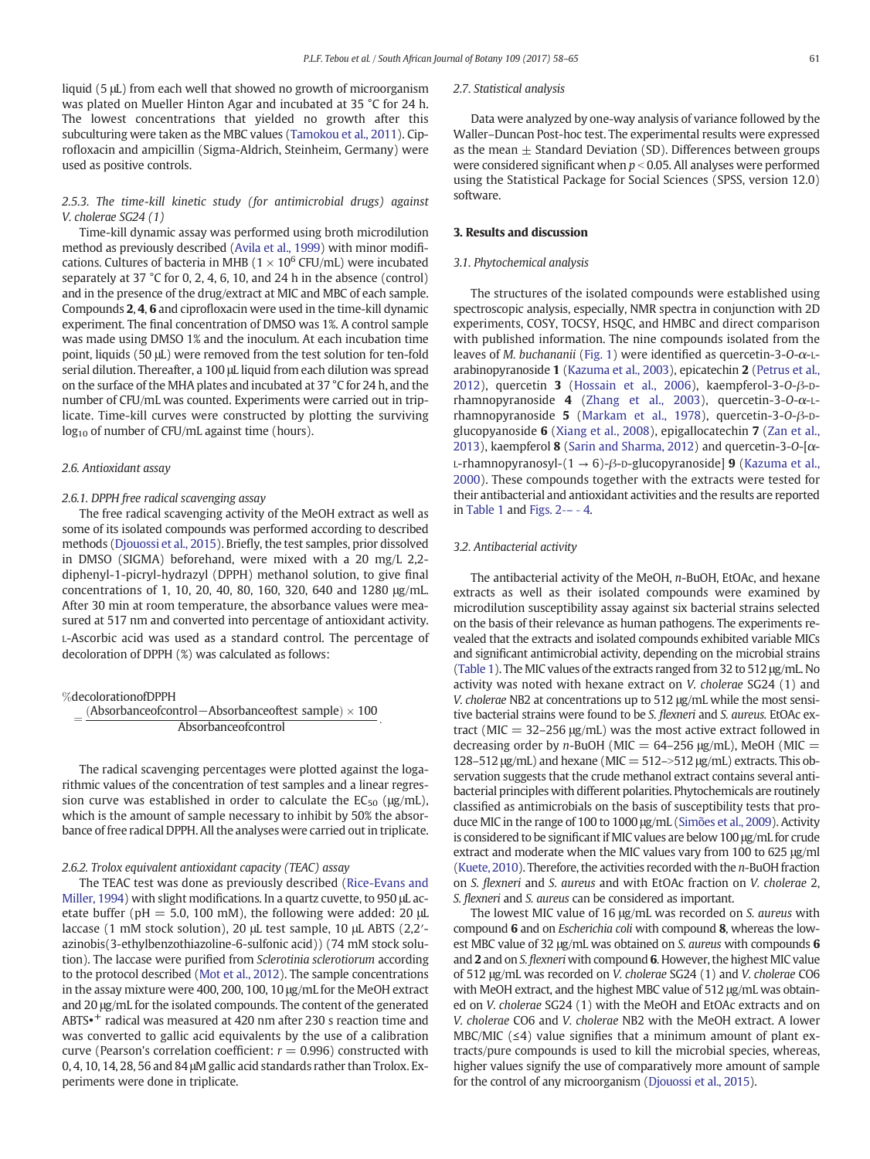liquid (5 μL) from each well that showed no growth of microorganism was plated on Mueller Hinton Agar and incubated at 35 °C for 24 h. The lowest concentrations that yielded no growth after this subculturing were taken as the MBC values [\(Tamokou et al., 2011\)](#page-7-0). Ciprofloxacin and ampicillin (Sigma-Aldrich, Steinheim, Germany) were used as positive controls.

# 2.5.3. The time-kill kinetic study (for antimicrobial drugs) against V. cholerae SG24 (1)

Time-kill dynamic assay was performed using broth microdilution method as previously described ([Avila et al., 1999](#page-7-0)) with minor modifications. Cultures of bacteria in MHB ( $1 \times 10^6$  CFU/mL) were incubated separately at 37 °C for 0, 2, 4, 6, 10, and 24 h in the absence (control) and in the presence of the drug/extract at MIC and MBC of each sample. Compounds 2, 4, 6 and ciprofloxacin were used in the time-kill dynamic experiment. The final concentration of DMSO was 1%. A control sample was made using DMSO 1% and the inoculum. At each incubation time point, liquids (50 μL) were removed from the test solution for ten-fold serial dilution. Thereafter, a 100 μL liquid from each dilution was spread on the surface of the MHA plates and incubated at 37 °C for 24 h, and the number of CFU/mL was counted. Experiments were carried out in triplicate. Time-kill curves were constructed by plotting the surviving  $log_{10}$  of number of CFU/mL against time (hours).

# 2.6. Antioxidant assay

#### 2.6.1. DPPH free radical scavenging assay

The free radical scavenging activity of the MeOH extract as well as some of its isolated compounds was performed according to described methods ([Djouossi et al., 2015](#page-7-0)). Briefly, the test samples, prior dissolved in DMSO (SIGMA) beforehand, were mixed with a 20 mg/L 2,2 diphenyl-1-picryl-hydrazyl (DPPH) methanol solution, to give final concentrations of 1, 10, 20, 40, 80, 160, 320, 640 and 1280 μg/mL. After 30 min at room temperature, the absorbance values were measured at 517 nm and converted into percentage of antioxidant activity. L-Ascorbic acid was used as a standard control. The percentage of decoloration of DPPH (%) was calculated as follows:

# %decolorationofDPPH

 $=\frac{(Absorbanceofcontrol-Absorbanceoftest sample) \times 100}{Absorbanceofcontrol}$ Absorbanceofcontrol :

The radical scavenging percentages were plotted against the logarithmic values of the concentration of test samples and a linear regression curve was established in order to calculate the  $EC_{50}$  ( $\mu$ g/mL), which is the amount of sample necessary to inhibit by 50% the absorbance of free radical DPPH. All the analyses were carried out in triplicate.

# 2.6.2. Trolox equivalent antioxidant capacity (TEAC) assay

The TEAC test was done as previously described ([Rice-Evans and](#page-7-0) [Miller, 1994\)](#page-7-0) with slight modifications. In a quartz cuvette, to 950 μL acetate buffer (pH = 5.0, 100 mM), the following were added: 20  $\mu$ L laccase (1 mM stock solution), 20 μL test sample, 10 μL ABTS (2,2′ azinobis(3-ethylbenzothiazoline-6-sulfonic acid)) (74 mM stock solution). The laccase were purified from Sclerotinia sclerotiorum according to the protocol described ([Mot et al., 2012](#page-7-0)). The sample concentrations in the assay mixture were 400, 200, 100, 10 μg/mL for the MeOH extract and 20 μg/mL for the isolated compounds. The content of the generated ABTS• <sup>+</sup> radical was measured at 420 nm after 230 s reaction time and was converted to gallic acid equivalents by the use of a calibration curve (Pearson's correlation coefficient:  $r = 0.996$ ) constructed with 0, 4, 10, 14, 28, 56 and 84 μM gallic acid standards rather than Trolox. Experiments were done in triplicate.

## 2.7. Statistical analysis

Data were analyzed by one-way analysis of variance followed by the Waller–Duncan Post-hoc test. The experimental results were expressed as the mean  $\pm$  Standard Deviation (SD). Differences between groups were considered significant when  $p < 0.05$ . All analyses were performed using the Statistical Package for Social Sciences (SPSS, version 12.0) software.

# 3. Results and discussion

### 3.1. Phytochemical analysis

The structures of the isolated compounds were established using spectroscopic analysis, especially, NMR spectra in conjunction with 2D experiments, COSY, TOCSY, HSQC, and HMBC and direct comparison with published information. The nine compounds isolated from the leaves of M. buchananii [\(Fig. 1](#page-4-0)) were identified as quercetin-3-O-α-Larabinopyranoside 1 ([Kazuma et al., 2003](#page-7-0)), epicatechin 2 [\(Petrus et al.,](#page-7-0) [2012\)](#page-7-0), quercetin 3 [\(Hossain et al., 2006](#page-7-0)), kaempferol-3-O-β-Drhamnopyranoside 4 ([Zhang et al., 2003\)](#page-7-0), quercetin-3-O-α-Lrhamnopyranoside 5 ([Markam et al., 1978](#page-7-0)), quercetin-3-O-β-Dglucopyanoside 6 ([Xiang et al., 2008\)](#page-7-0), epigallocatechin 7 ([Zan et al.,](#page-7-0) [2013\)](#page-7-0), kaempferol **8** [\(Sarin and Sharma, 2012](#page-7-0)) and quercetin-3-0-[ $\alpha$ -L-rhamnopyranosyl-(1  $\rightarrow$  6)- $\beta$ -p-glucopyranoside] **9** ([Kazuma et al.,](#page-7-0) [2000\)](#page-7-0). These compounds together with the extracts were tested for their antibacterial and antioxidant activities and the results are reported in [Table 1](#page-5-0) and Figs.  $2---4$ .

#### 3.2. Antibacterial activity

The antibacterial activity of the MeOH, n-BuOH, EtOAc, and hexane extracts as well as their isolated compounds were examined by microdilution susceptibility assay against six bacterial strains selected on the basis of their relevance as human pathogens. The experiments revealed that the extracts and isolated compounds exhibited variable MICs and significant antimicrobial activity, depending on the microbial strains [\(Table 1](#page-5-0)). The MIC values of the extracts ranged from 32 to 512 μg/mL. No activity was noted with hexane extract on V. cholerae SG24 (1) and V. cholerae NB2 at concentrations up to 512 μg/mL while the most sensitive bacterial strains were found to be S. flexneri and S. aureus. EtOAc extract (MIC  $=$  32–256 μg/mL) was the most active extract followed in decreasing order by n-BuOH (MIC =  $64-256 \mu g/mL$ ), MeOH (MIC = 128–512 μg/mL) and hexane (MIC =  $512\rightarrow512$  μg/mL) extracts. This observation suggests that the crude methanol extract contains several antibacterial principles with different polarities. Phytochemicals are routinely classified as antimicrobials on the basis of susceptibility tests that produce MIC in the range of 100 to 1000 μg/mL [\(Simões et al., 2009](#page-7-0)). Activity is considered to be significant if MIC values are below 100 μg/mL for crude extract and moderate when the MIC values vary from 100 to 625 μg/ml [\(Kuete, 2010\)](#page-7-0). Therefore, the activities recorded with the n-BuOH fraction on S. flexneri and S. aureus and with EtOAc fraction on V. cholerae 2, S. flexneri and S. aureus can be considered as important.

The lowest MIC value of 16 μg/mL was recorded on S. aureus with compound 6 and on Escherichia coli with compound 8, whereas the lowest MBC value of 32 μg/mL was obtained on *S. aureus* with compounds 6 and 2 and on S. flexneri with compound 6. However, the highest MIC value of 512 μg/mL was recorded on V. cholerae SG24 (1) and V. cholerae CO6 with MeOH extract, and the highest MBC value of 512 μg/mL was obtained on V. cholerae SG24 (1) with the MeOH and EtOAc extracts and on V. cholerae CO6 and V. cholerae NB2 with the MeOH extract. A lower MBC/MIC  $(4)$  value signifies that a minimum amount of plant extracts/pure compounds is used to kill the microbial species, whereas, higher values signify the use of comparatively more amount of sample for the control of any microorganism [\(Djouossi et al., 2015](#page-7-0)).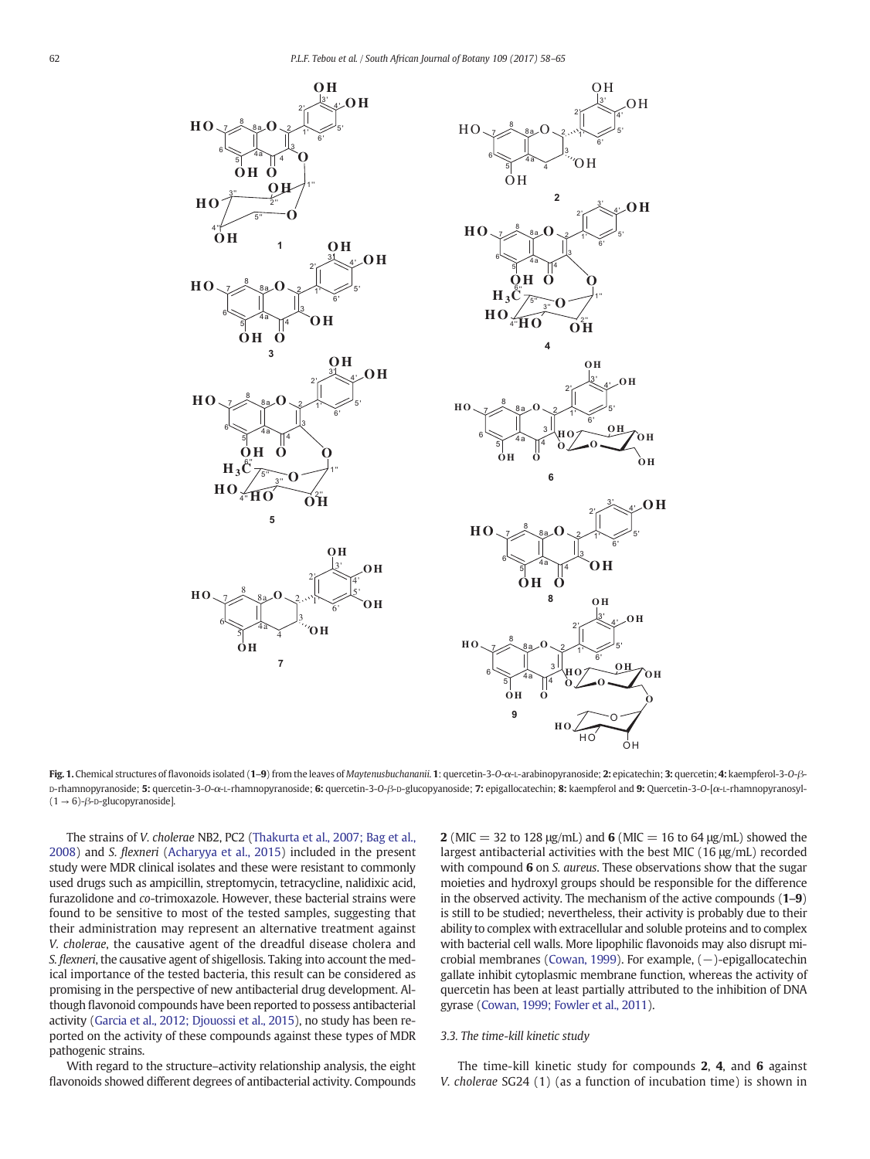<span id="page-4-0"></span>



Fig. 1. Chemical structures of flavonoids isolated (1-9) from the leaves of Maytenusbuchananii. 1: quercetin-3-O-α-L-arabinopyranoside; 2: epicatechin; 3: quercetin; 4: kaempferol-3-O-β-D-rhamnopyranoside; 5: quercetin-3-O-α-L-rhamnopyranoside; 6: quercetin-3-O-β-D-glucopyanoside; 7: epigallocatechin; 8: kaempferol and 9: Quercetin-3-O-[α-L-rhamnopyranosyl-  $(1 \rightarrow 6)$ - $\beta$ - $D$ -glucopyranoside].

The strains of V. cholerae NB2, PC2 [\(Thakurta et al., 2007; Bag et al.,](#page-7-0) [2008\)](#page-7-0) and S. flexneri [\(Acharyya et al., 2015](#page-7-0)) included in the present study were MDR clinical isolates and these were resistant to commonly used drugs such as ampicillin, streptomycin, tetracycline, nalidixic acid, furazolidone and co-trimoxazole. However, these bacterial strains were found to be sensitive to most of the tested samples, suggesting that their administration may represent an alternative treatment against V. cholerae, the causative agent of the dreadful disease cholera and S. flexneri, the causative agent of shigellosis. Taking into account the medical importance of the tested bacteria, this result can be considered as promising in the perspective of new antibacterial drug development. Although flavonoid compounds have been reported to possess antibacterial activity [\(Garcia et al., 2012; Djouossi et al., 2015\)](#page-7-0), no study has been reported on the activity of these compounds against these types of MDR pathogenic strains.

With regard to the structure–activity relationship analysis, the eight flavonoids showed different degrees of antibacterial activity. Compounds 2 (MIC = 32 to 128  $\mu$ g/mL) and 6 (MIC = 16 to 64  $\mu$ g/mL) showed the largest antibacterial activities with the best MIC (16 μg/mL) recorded with compound 6 on S. aureus. These observations show that the sugar moieties and hydroxyl groups should be responsible for the difference in the observed activity. The mechanism of the active compounds  $(1-9)$ is still to be studied; nevertheless, their activity is probably due to their ability to complex with extracellular and soluble proteins and to complex with bacterial cell walls. More lipophilic flavonoids may also disrupt mi-crobial membranes ([Cowan, 1999](#page-7-0)). For example,  $(-)$ -epigallocatechin gallate inhibit cytoplasmic membrane function, whereas the activity of quercetin has been at least partially attributed to the inhibition of DNA gyrase ([Cowan, 1999; Fowler et al., 2011](#page-7-0)).

# 3.3. The time-kill kinetic study

The time-kill kinetic study for compounds 2, 4, and 6 against V. cholerae SG24 (1) (as a function of incubation time) is shown in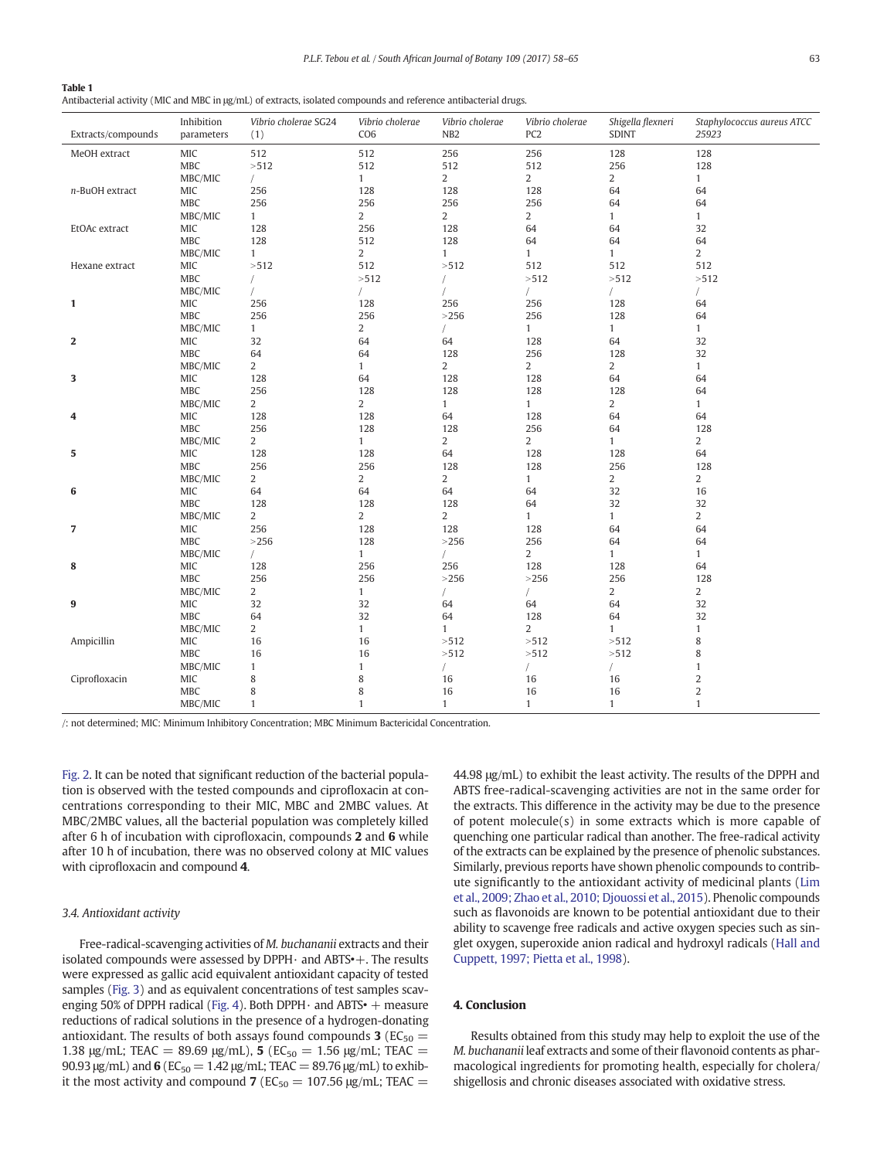<span id="page-5-0"></span>

| Antibacterial activity (MIC and MBC in µg/mL) of extracts, isolated compounds and reference antibacterial drugs. |  |  |  |
|------------------------------------------------------------------------------------------------------------------|--|--|--|
|------------------------------------------------------------------------------------------------------------------|--|--|--|

|                    | Inhibition           | Vibrio cholerae SG24  | Vibrio cholerae       | Vibrio cholerae       | Vibrio cholerae       | Shigella flexneri    | Staphylococcus aureus ATCC       |
|--------------------|----------------------|-----------------------|-----------------------|-----------------------|-----------------------|----------------------|----------------------------------|
| Extracts/compounds | parameters           | (1)                   | CO <sub>6</sub>       | NB <sub>2</sub>       | PC <sub>2</sub>       | <b>SDINT</b>         | 25923                            |
| MeOH extract       | MIC                  | 512                   | 512                   | 256                   | 256                   | 128                  | 128                              |
|                    | <b>MBC</b>           | >512                  | 512                   | 512                   | 512                   | 256                  | 128                              |
|                    | MBC/MIC              |                       | $\mathbf{1}$          | $\overline{a}$        | $\overline{a}$        | $\overline{a}$       | $\mathbf{1}$                     |
| n-BuOH extract     | MIC                  | 256                   | 128                   | 128                   | 128                   | 64                   | 64                               |
|                    | MBC                  | 256                   | 256                   | 256                   | 256                   | 64                   | 64                               |
| EtOAc extract      | MBC/MIC<br>$\rm MIC$ | $\mathbf{1}$<br>128   | $\overline{2}$<br>256 | $\overline{2}$<br>128 | $\overline{c}$<br>64  | $\mathbf{1}$<br>64   | $\mathbf{1}$<br>32               |
|                    | <b>MBC</b>           | 128                   | 512                   | 128                   | 64                    | 64                   | 64                               |
|                    | MBC/MIC              | $\mathbf{1}$          | $\overline{2}$        | $\mathbf{1}$          | $\mathbf{1}$          | $\mathbf{1}$         | $\overline{2}$                   |
| Hexane extract     | MIC                  | >512                  | 512                   | >512                  | 512                   | 512                  | 512                              |
|                    | MBC                  | $\sqrt{2}$            | >512                  | $\sqrt{2}$            | >512                  | >512                 | >512                             |
|                    | MBC/MIC              |                       | $\sqrt{2}$            |                       | $\sqrt{2}$            | $\sqrt{2}$           |                                  |
| $\mathbf{1}$       | MIC                  | 256                   | 128                   | 256                   | 256                   | 128                  | 64                               |
|                    | MBC                  | 256                   | 256                   | >256                  | 256                   | 128                  | 64                               |
|                    | MBC/MIC              | $\mathbf{1}$          | 2                     |                       | $\mathbf{1}$          | $\mathbf{1}$         | $\mathbf{1}$                     |
| $\mathbf{2}$       | MIC                  | 32                    | 64                    | 64                    | 128                   | 64                   | 32                               |
|                    | MBC                  | 64                    | 64                    | 128                   | 256                   | 128                  | 32                               |
| 3                  | MBC/MIC<br>MIC       | $\overline{a}$<br>128 | $\mathbf{1}$<br>64    | $\overline{2}$<br>128 | $\overline{2}$<br>128 | $\overline{2}$<br>64 | $\mathbf{1}$<br>64               |
|                    | <b>MBC</b>           | 256                   | 128                   | 128                   | 128                   | 128                  | 64                               |
|                    | MBC/MIC              | 2                     | 2                     | $\mathbf{1}$          | $\mathbf{1}$          | 2                    | $\mathbf{1}$                     |
| 4                  | MIC                  | 128                   | 128                   | 64                    | 128                   | 64                   | 64                               |
|                    | MBC                  | 256                   | 128                   | 128                   | 256                   | 64                   | 128                              |
|                    | MBC/MIC              | $\overline{a}$        | $\mathbf{1}$          | $\overline{c}$        | $\overline{2}$        | $\mathbf{1}$         | $\overline{2}$                   |
| 5                  | MIC                  | 128                   | 128                   | 64                    | 128                   | 128                  | 64                               |
|                    | <b>MBC</b>           | 256                   | 256                   | 128                   | 128                   | 256                  | 128                              |
|                    | MBC/MIC              | $\overline{2}$        | $\overline{2}$        | $\overline{a}$        | $\mathbf{1}$          | 2                    | $\overline{2}$                   |
| 6                  | MIC                  | 64                    | 64                    | 64                    | 64                    | 32                   | 16                               |
|                    | <b>MBC</b>           | 128                   | 128                   | 128                   | 64                    | 32                   | 32                               |
| $\overline{7}$     | MBC/MIC<br>MIC       | $\overline{c}$<br>256 | $\overline{2}$<br>128 | $\overline{c}$<br>128 | $\mathbf{1}$<br>128   | $\mathbf{1}$<br>64   | $\overline{c}$<br>64             |
|                    | <b>MBC</b>           | $>256$                | 128                   | >256                  | 256                   | 64                   | 64                               |
|                    | MBC/MIC              | $\sqrt{2}$            | $\mathbf{1}$          |                       | $\overline{2}$        | $\mathbf{1}$         | $\mathbf{1}$                     |
| 8                  | MIC                  | 128                   | 256                   | 256                   | 128                   | 128                  | 64                               |
|                    | MBC                  | 256                   | 256                   | >256                  | >256                  | 256                  | 128                              |
|                    | MBC/MIC              | $\overline{c}$        | $\mathbf{1}$          | $\sqrt{2}$            | $\sqrt{2}$            | $\overline{2}$       | $\overline{c}$                   |
| 9                  | MIC                  | 32                    | 32                    | 64                    | 64                    | 64                   | 32                               |
|                    | <b>MBC</b>           | 64                    | 32                    | 64                    | 128                   | 64                   | 32                               |
|                    | MBC/MIC              | $\overline{2}$        | $\mathbf{1}$          | $\mathbf{1}$          | $\overline{2}$        | $\mathbf{1}$         | $\mathbf{1}$                     |
| Ampicillin         | MIC                  | 16                    | 16                    | >512                  | >512                  | >512                 | 8                                |
|                    | MBC                  | 16                    | 16                    | >512                  | >512                  | >512                 | 8                                |
|                    | MBC/MIC              | $\mathbf{1}$          | $\mathbf{1}$          | $\sqrt{2}$            |                       | $\sqrt{2}$           | $\mathbf{1}$                     |
| Ciprofloxacin      | MIC<br><b>MBC</b>    | 8<br>8                | 8<br>8                | 16<br>16              | 16<br>16              | 16<br>16             | $\overline{c}$<br>$\overline{2}$ |
|                    | MBC/MIC              | $\mathbf{1}$          | $\mathbf{1}$          | $\mathbf{1}$          | $\mathbf{1}$          | $\mathbf{1}$         | $\mathbf{1}$                     |
|                    |                      |                       |                       |                       |                       |                      |                                  |

/: not determined; MIC: Minimum Inhibitory Concentration; MBC Minimum Bactericidal Concentration.

[Fig. 2](#page-6-0). It can be noted that significant reduction of the bacterial population is observed with the tested compounds and ciprofloxacin at concentrations corresponding to their MIC, MBC and 2MBC values. At MBC/2MBC values, all the bacterial population was completely killed after 6 h of incubation with ciprofloxacin, compounds 2 and 6 while after 10 h of incubation, there was no observed colony at MIC values with ciprofloxacin and compound 4.

# 3.4. Antioxidant activity

Free-radical-scavenging activities of M. buchananii extracts and their isolated compounds were assessed by  $DPPH \cdot$  and  $ABTS \cdot +$ . The results were expressed as gallic acid equivalent antioxidant capacity of tested samples [\(Fig. 3\)](#page-6-0) and as equivalent concentrations of test samples scav-enging 50% of DPPH radical [\(Fig. 4\)](#page-6-0). Both DPPH $\cdot$  and ABTS $\cdot$  + measure reductions of radical solutions in the presence of a hydrogen-donating antioxidant. The results of both assays found compounds 3 ( $EC_{50}$  = 1.38 μg/mL; TEAC = 89.69 μg/mL), 5 (EC<sub>50</sub> = 1.56 μg/mL; TEAC = 90.93 μg/mL) and 6 ( $EC_{50} = 1.42$  μg/mL; TEAC = 89.76 μg/mL) to exhibit the most activity and compound 7 ( $EC_{50} = 107.56 \text{ µg/mL}$ ; TEAC =

44.98 μg/mL) to exhibit the least activity. The results of the DPPH and ABTS free-radical-scavenging activities are not in the same order for the extracts. This difference in the activity may be due to the presence of potent molecule(s) in some extracts which is more capable of quenching one particular radical than another. The free-radical activity of the extracts can be explained by the presence of phenolic substances. Similarly, previous reports have shown phenolic compounds to contribute significantly to the antioxidant activity of medicinal plants ([Lim](#page-7-0) [et al., 2009; Zhao et al., 2010; Djouossi et al., 2015\)](#page-7-0). Phenolic compounds such as flavonoids are known to be potential antioxidant due to their ability to scavenge free radicals and active oxygen species such as singlet oxygen, superoxide anion radical and hydroxyl radicals [\(Hall and](#page-7-0) [Cuppett, 1997; Pietta et al., 1998\)](#page-7-0).

# 4. Conclusion

Results obtained from this study may help to exploit the use of the M. buchananii leaf extracts and some of their flavonoid contents as pharmacological ingredients for promoting health, especially for cholera/ shigellosis and chronic diseases associated with oxidative stress.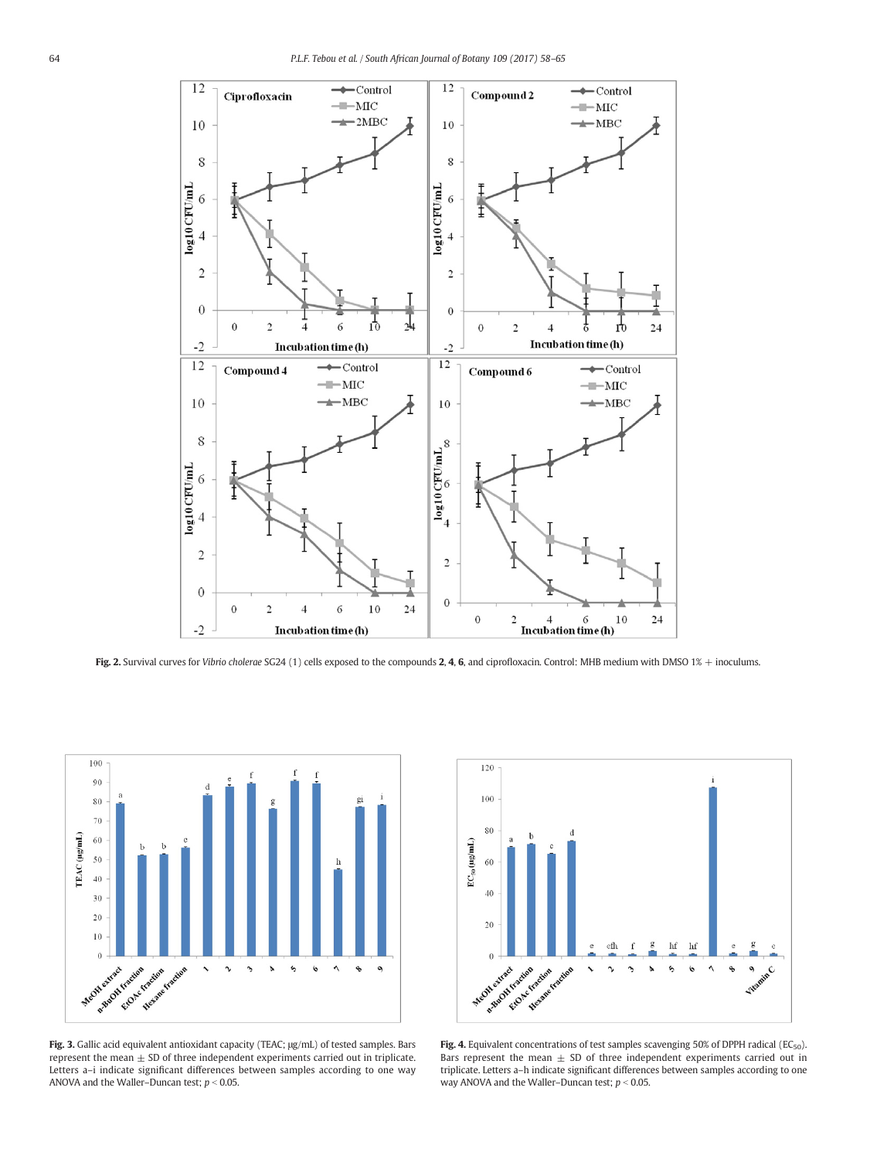<span id="page-6-0"></span>

Fig. 2. Survival curves for Vibrio cholerae SG24 (1) cells exposed to the compounds 2, 4, 6, and ciprofloxacin. Control: MHB medium with DMSO 1% + inoculums.



Fig. 3. Gallic acid equivalent antioxidant capacity (TEAC; μg/mL) of tested samples. Bars represent the mean  $\pm$  SD of three independent experiments carried out in triplicate. Letters a–i indicate significant differences between samples according to one way ANOVA and the Waller–Duncan test;  $p < 0.05$ .



Fig. 4. Equivalent concentrations of test samples scavenging 50% of DPPH radical (EC<sub>50</sub>). Bars represent the mean  $\pm$  SD of three independent experiments carried out in triplicate. Letters a–h indicate significant differences between samples according to one way ANOVA and the Waller–Duncan test;  $p < 0.05$ .